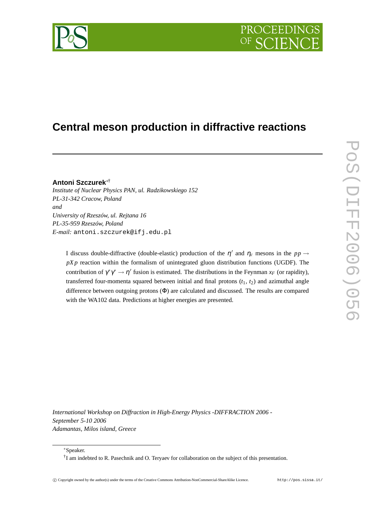# PROCEEDIN

## **Central meson production in diffractive reactions**

### **Antoni Szczurek**∗†

*Institute of Nuclear Physics PAN, ul. Radzikowskiego 152 PL-31-342 Cracow, Poland and University of Rzeszów, ul. Rejtana 16 PL-35-959 Rzeszów, Poland E-mail:* antoni.szczurek@ifj.edu.pl

I discuss double-diffractive (double-elastic) production of the  $\eta'$  and  $\eta_c$  mesons in the  $pp \rightarrow$ *pX p* reaction within the formalism of unintegrated gluon distribution functions (UGDF). The contribution of  $\gamma^* \gamma^* \to \eta'$  fusion is estimated. The distributions in the Feynman  $x_F$  (or rapidity), transferred four-momenta squared between initial and final protons  $(t_1, t_2)$  and azimuthal angle difference between outgoing protons (Φ) are calculated and discussed. The results are compared with the WA102 data. Predictions at higher energies are presented.

*International Workshop on Diffraction in High-Energy Physics -DIFFRACTION 2006 - September 5-10 2006 Adamantas, Milos island, Greece*

<sup>∗</sup>Speaker.

<sup>†</sup> I am indebted to R. Pasechnik and O. Teryaev for collaboration on the subject of this presentation.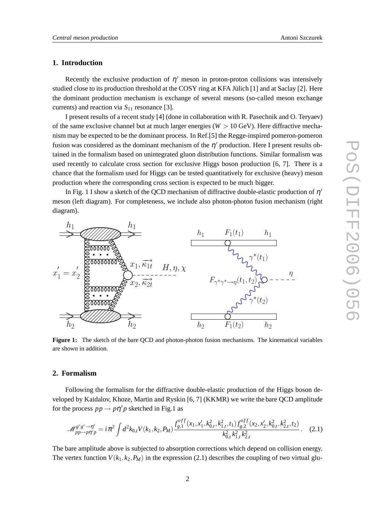#### **1. Introduction**

Recently the exclusive production of  $\eta'$  meson in proton-proton collisions was intensively studied close to its production threshold at the COSY ring at KFA Jülich [1] and at Saclay [2]. Here the dominant production mechanism is exchange of several mesons (so-called meson exchange currents) and reaction via *S*<sup>11</sup> resonance [3].

I present results of a recent study [4] (done in collaboration with R. Pasechnik and O. Teryaev) of the same exclusive channel but at much larger energies ( $W > 10$  GeV). Here diffractive mechanism may be expected to be the dominant process. In Ref.[5] the Regge-inspired pomeron-pomeron fusion was considered as the dominant mechanism of the  $\eta'$  production. Here I present results obtained in the formalism based on unintegrated gluon distribution functions. Similar formalism was used recently to calculate cross section for exclusive Higgs boson production [6, 7]. There is a chance that the formalism used for Higgs can be tested quantitatively for exclusive (heavy) meson production where the corresponding cross section is expected to be much bigger.

In Fig. 1 I show a sketch of the QCD mechanism of diffractive double-elastic production of  $\eta'$ meson (left diagram). For completeness, we include also photon-photon fusion mechanism (right diagram).



**Figure 1:** The sketch of the bare QCD and photon-photon fusion mechanisms. The kinematical variables are shown in addition.

#### **2. Formalism**

Following the formalism for the diffractive double-elastic production of the Higgs boson developed by Kaidalov, Khoze, Martin and Ryskin [6, 7] (KKMR) we write the bare QCD amplitude for the process  $pp \rightarrow pp'p$  sketched in Fig.1 as

$$
\mathcal{M}_{pp \to pp \gamma}^{g^* g^* \to \eta'} = i \pi^2 \int d^2 k_{0,t} V(k_1, k_2, P_M) \frac{f_{g,1}^{off}(x_1, x_1', k_{0,t}^2, k_{1,t}^2, t_1) f_{g,2}^{off}(x_2, x_2', k_{0,t}^2, k_{2,t}^2, t_2)}{k_{0,t}^2 k_{1,t}^2 k_{2,t}^2}.
$$
 (2.1)

The bare amplitude above is subjected to absorption corrections which depend on collision energy. The vertex function  $V(k_1, k_2, P_M)$  in the expression (2.1) describes the coupling of two virtual glu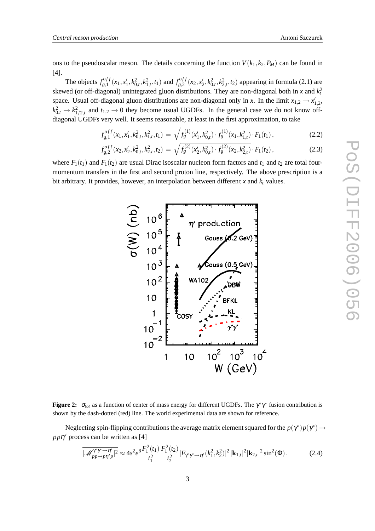ons to the pseudoscalar meson. The details concerning the function  $V(k_1, k_2, P_M)$  can be found in [4].

The objects  $f_{o1}^{off}$  $f_{g,1}^{off}(x_1, x_1', k_{0,t}^2, k_{1,t}^2, t_1)$  and  $f_{g,2}^{off}$  $g_{8,2}^{off}(x_2, x_2', k_{0,t}^2, k_{2,t}^2, t_2)$  appearing in formula (2.1) are skewed (or off-diagonal) unintegrated gluon distributions. They are non-diagonal both in *x* and  $k_t^2$ space. Usual off-diagonal gluon distributions are non-diagonal only in *x*. In the limit  $x_{1,2} \rightarrow x'_{1,2}$ ,  $k_{0,t}^2 \rightarrow k_{1/2,t}^2$  and  $t_{1,2} \rightarrow 0$  they become usual UGDFs. In the general case we do not know offdiagonal UGDFs very well. It seems reasonable, at least in the first approximation, to take

$$
f_{g,1}^{off}(x_1, x_1', k_{0,t}^2, k_{1,t}^2, t_1) = \sqrt{f_g^{(1)}(x_1', k_{0,t}^2) \cdot f_g^{(1)}(x_1, k_{1,t}^2)} \cdot F_1(t_1), \qquad (2.2)
$$

$$
f_{g,2}^{off}(x_2, x_2', k_{0,t}^2, k_{2,t}^2, t_2) = \sqrt{f_g^{(2)}(x_2', k_{0,t}^2) \cdot f_g^{(2)}(x_2, k_{2,t}^2)} \cdot F_1(t_2), \qquad (2.3)
$$

where  $F_1(t_1)$  and  $F_1(t_2)$  are usual Dirac isoscalar nucleon form factors and  $t_1$  and  $t_2$  are total fourmomentum transfers in the first and second proton line, respectively. The above prescription is a bit arbitrary. It provides, however, an interpolation between different  $x$  and  $k_t$  values.



**Figure 2:**  $\sigma_{tot}$  as a function of center of mass energy for different UGDFs. The  $\gamma^* \gamma^*$  fusion contribution is shown by the dash-dotted (red) line. The world experimental data are shown for reference.

Neglecting spin-flipping contributions the average matrix element squared for the  $p(\gamma^*)p(\gamma^*) \to$ *pp*η ′ process can be written as [4]

$$
\overline{|\mathcal{M}_{pp\to pp\gamma'}^{\gamma^* \gamma^* \to \eta'}|^{2}} \approx 4s^{2}e^{8}\frac{F_{1}^{2}(t_{1})}{t_{1}^{2}}\frac{F_{1}^{2}(t_{2})}{t_{2}^{2}}|F_{\gamma^* \gamma^* \to \eta'}(k_{1}^{2},k_{2}^{2})|^{2}|\mathbf{k}_{1,t}|^{2}|\mathbf{k}_{2,t}|^{2}\sin^{2}(\Phi). \tag{2.4}
$$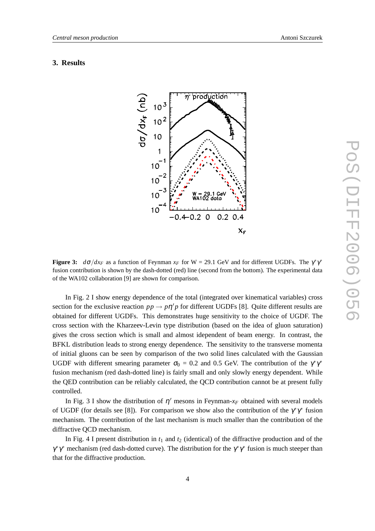#### **3. Results**



**Figure 3:**  $d\sigma/dx_F$  as a function of Feynman  $x_F$  for W = 29.1 GeV and for different UGDFs. The  $\gamma^*\gamma^*$ fusion contribution is shown by the dash-dotted (red) line (second from the bottom). The experimental data of the WA102 collaboration [9] are shown for comparison.

In Fig. 2 I show energy dependence of the total (integrated over kinematical variables) cross section for the exclusive reaction  $pp \to p\eta'p$  for different UGDFs [8]. Quite different results are obtained for different UGDFs. This demonstrates huge sensitivity to the choice of UGDF. The cross section with the Kharzeev-Levin type distribution (based on the idea of gluon saturation) gives the cross section which is small and almost idependent of beam energy. In contrast, the BFKL distribution leads to strong energy dependence. The sensitivity to the transverse momenta of initial gluons can be seen by comparison of the two solid lines calculated with the Gaussian UGDF with different smearing parameter  $\sigma_0 = 0.2$  and 0.5 GeV. The contribution of the  $\gamma^* \gamma^*$ fusion mechanism (red dash-dotted line) is fairly small and only slowly energy dependent. While the QED contribution can be reliably calculated, the QCD contribution cannot be at present fully controlled.

In Fig. 3 I show the distribution of  $\eta'$  mesons in Feynman- $x_F$  obtained with several models of UGDF (for details see [8]). For comparison we show also the contribution of the  $\gamma^* \gamma^*$  fusion mechanism. The contribution of the last mechanism is much smaller than the contribution of the diffractive QCD mechanism.

In Fig. 4 I present distribution in  $t_1$  and  $t_2$  (identical) of the diffractive production and of the  $\gamma^* \gamma^*$  mechanism (red dash-dotted curve). The distribution for the  $\gamma^* \gamma^*$  fusion is much steeper than that for the diffractive production.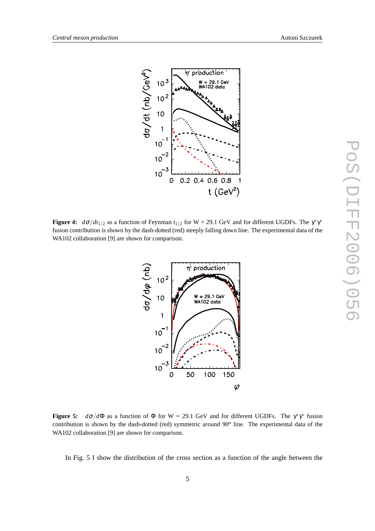

**Figure 4:**  $d\sigma/dt_{1/2}$  as a function of Feynman  $t_{1/2}$  for W = 29.1 GeV and for different UGDFs. The  $\gamma^*\gamma^*$ fusion contribution is shown by the dash-dotted (red) steeply falling down line. The experimental data of the WA102 collaboration [9] are shown for comparison.



**Figure 5:**  $d\sigma/d\Phi$  as a function of  $\Phi$  for W = 29.1 GeV and for different UGDFs. The  $\gamma^*\gamma^*$  fusion contribution is shown by the dash-dotted (red) symmetric around 90*<sup>o</sup>* line. The experimental data of the WA102 collaboration [9] are shown for comparison.

In Fig. 5 I show the distribution of the cross section as a function of the angle between the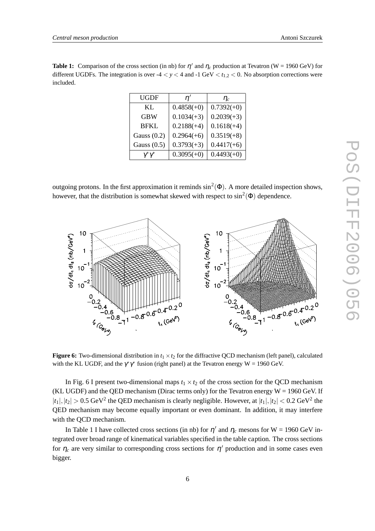*Central meson production* Antoni Szczurek

| <b>Table 1:</b> Comparison of the cross section (in nb) for $\eta'$ and $\eta_c$ production at Tevatron (W = 1960 GeV) for |
|----------------------------------------------------------------------------------------------------------------------------|
| different UGDFs. The integration is over $-4 < y < 4$ and $-1$ GeV $< t_{1,2} < 0$ . No absorption corrections were        |
| included.                                                                                                                  |

| UGDF          | n'           | $\eta_c$     |
|---------------|--------------|--------------|
| KL.           | $0.4858(+0)$ | $0.7392(+0)$ |
| <b>GBW</b>    | $0.1034(+3)$ | $0.2039(+3)$ |
| <b>BFKL</b>   | $0.2188(+4)$ | $0.1618(+4)$ |
| Gauss $(0.2)$ | $0.2964(+6)$ | $0.3519(+8)$ |
| Gauss $(0.5)$ | $0.3793(+3)$ | $0.4417(+6)$ |
|               | $0.3095(+0)$ | $0.4493(+0)$ |

outgoing protons. In the first approximation it reminds  $\sin^2(\Phi)$ . A more detailed inspection shows, however, that the distribution is somewhat skewed with respect to  $\sin^2(\Phi)$  dependence.



**Figure 6:** Two-dimensional distribution in  $t_1 \times t_2$  for the diffractive QCD mechanism (left panel), calculated with the KL UGDF, and the  $\gamma^* \gamma^*$  fusion (right panel) at the Tevatron energy W = 1960 GeV.

In Fig. 6 I present two-dimensional maps  $t_1 \times t_2$  of the cross section for the QCD mechanism (KL UGDF) and the QED mechanism (Dirac terms only) for the Tevatron energy  $W = 1960$  GeV. If  $|t_1|, |t_2| > 0.5$  GeV<sup>2</sup> the QED mechanism is clearly negligible. However, at  $|t_1|, |t_2| < 0.2$  GeV<sup>2</sup> the QED mechanism may become equally important or even dominant. In addition, it may interfere with the QCD mechanism.

In Table 1 I have collected cross sections (in nb) for  $\eta'$  and  $\eta_c$  mesons for W = 1960 GeV integrated over broad range of kinematical variables specified in the table caption. The cross sections for  $\eta_c$  are very similar to corresponding cross sections for  $\eta'$  production and in some cases even bigger.